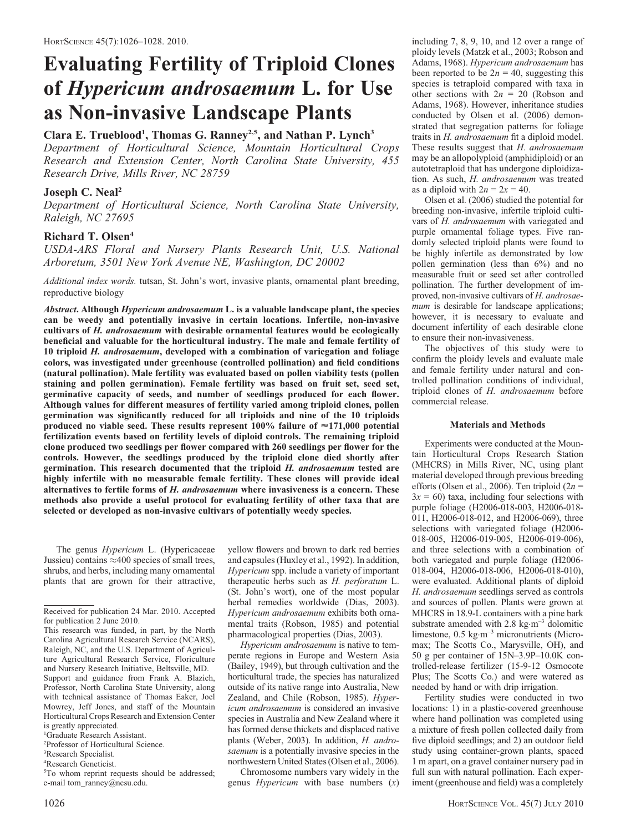# Evaluating Fertility of Triploid Clones of Hypericum androsaemum L. for Use as Non-invasive Landscape Plants

# Clara E. Trueblood<sup>1</sup>, Thomas G. Ranney<sup>2,5</sup>, and Nathan P. Lynch<sup>3</sup>

Department of Horticultural Science, Mountain Horticultural Crops Research and Extension Center, North Carolina State University, 455 Research Drive, Mills River, NC 28759

## Joseph C. Neal<sup>2</sup>

Department of Horticultural Science, North Carolina State University, Raleigh, NC 27695

## Richard T. Olsen<sup>4</sup>

USDA-ARS Floral and Nursery Plants Research Unit, U.S. National Arboretum, 3501 New York Avenue NE, Washington, DC 20002

Additional index words. tutsan, St. John's wort, invasive plants, ornamental plant breeding, reproductive biology

Abstract. Although Hypericum androsaemum L. is a valuable landscape plant, the species can be weedy and potentially invasive in certain locations. Infertile, non-invasive cultivars of H. androsaemum with desirable ornamental features would be ecologically beneficial and valuable for the horticultural industry. The male and female fertility of 10 triploid H. androsaemum, developed with a combination of variegation and foliage colors, was investigated under greenhouse (controlled pollination) and field conditions (natural pollination). Male fertility was evaluated based on pollen viability tests (pollen staining and pollen germination). Female fertility was based on fruit set, seed set, germinative capacity of seeds, and number of seedlings produced for each flower. Although values for different measures of fertility varied among triploid clones, pollen germination was significantly reduced for all triploids and nine of the 10 triploids produced no viable seed. These results represent 100% failure of  $\approx$  171,000 potential fertilization events based on fertility levels of diploid controls. The remaining triploid clone produced two seedlings per flower compared with 260 seedlings per flower for the controls. However, the seedlings produced by the triploid clone died shortly after germination. This research documented that the triploid H. androsaemum tested are highly infertile with no measurable female fertility. These clones will provide ideal alternatives to fertile forms of H. androsaemum where invasiveness is a concern. These methods also provide a useful protocol for evaluating fertility of other taxa that are selected or developed as non-invasive cultivars of potentially weedy species.

The genus Hypericum L. (Hypericaceae Jussieu) contains  $\approx$  400 species of small trees, shrubs, and herbs, including many ornamental plants that are grown for their attractive, yellow flowers and brown to dark red berries and capsules (Huxley et al., 1992). In addition, Hypericum spp. include a variety of important therapeutic herbs such as H. perforatum L. (St. John's wort), one of the most popular herbal remedies worldwide (Dias, 2003). Hypericum androsaemum exhibits both ornamental traits (Robson, 1985) and potential pharmacological properties (Dias, 2003).

Hypericum androsaemum is native to temperate regions in Europe and Western Asia (Bailey, 1949), but through cultivation and the horticultural trade, the species has naturalized outside of its native range into Australia, New Zealand, and Chile (Robson, 1985). Hypericum androsaemum is considered an invasive species in Australia and New Zealand where it has formed dense thickets and displaced native plants (Weber, 2003). In addition, H. androsaemum is a potentially invasive species in the northwestern United States (Olsen et al., 2006).

Chromosome numbers vary widely in the genus *Hypericum* with base numbers  $(x)$  including 7, 8, 9, 10, and 12 over a range of ploidy levels (Matzk et al., 2003; Robson and Adams, 1968). Hypericum androsaemum has been reported to be  $2n = 40$ , suggesting this species is tetraploid compared with taxa in other sections with  $2n = 20$  (Robson and Adams, 1968). However, inheritance studies conducted by Olsen et al. (2006) demonstrated that segregation patterns for foliage traits in H. androsaemum fit a diploid model. These results suggest that H. androsaemum may be an allopolyploid (amphidiploid) or an autotetraploid that has undergone diploidization. As such, H. androsaemum was treated as a diploid with  $2n = 2x = 40$ .

Olsen et al. (2006) studied the potential for breeding non-invasive, infertile triploid cultivars of H. androsaemum with variegated and purple ornamental foliage types. Five randomly selected triploid plants were found to be highly infertile as demonstrated by low pollen germination (less than 6%) and no measurable fruit or seed set after controlled pollination. The further development of improved, non-invasive cultivars of H. androsaemum is desirable for landscape applications; however, it is necessary to evaluate and document infertility of each desirable clone to ensure their non-invasiveness.

The objectives of this study were to confirm the ploidy levels and evaluate male and female fertility under natural and controlled pollination conditions of individual, triploid clones of H. androsaemum before commercial release.

#### Materials and Methods

Experiments were conducted at the Mountain Horticultural Crops Research Station (MHCRS) in Mills River, NC, using plant material developed through previous breeding efforts (Olsen et al., 2006). Ten triploid ( $2n =$  $3x = 60$ ) taxa, including four selections with purple foliage (H2006-018-003, H2006-018- 011, H2006-018-012, and H2006-069), three selections with variegated foliage (H2006- 018-005, H2006-019-005, H2006-019-006), and three selections with a combination of both variegated and purple foliage (H2006- 018-004, H2006-018-006, H2006-018-010), were evaluated. Additional plants of diploid H. androsaemum seedlings served as controls and sources of pollen. Plants were grown at MHCRS in 18.9-L containers with a pine bark substrate amended with  $2.8 \text{ kg} \cdot \text{m}^{-3}$  dolomitic limestone,  $0.5 \text{ kg} \cdot \text{m}^{-3}$  micronutrients (Micromax; The Scotts Co., Marysville, OH), and 50 g per container of 15N–3.9P–10.0K controlled-release fertilizer (15-9-12 Osmocote Plus; The Scotts Co.) and were watered as needed by hand or with drip irrigation.

Fertility studies were conducted in two locations: 1) in a plastic-covered greenhouse where hand pollination was completed using a mixture of fresh pollen collected daily from five diploid seedlings; and 2) an outdoor field study using container-grown plants, spaced 1 m apart, on a gravel container nursery pad in full sun with natural pollination. Each experiment (greenhouse and field) was a completely

Received for publication 24 Mar. 2010. Accepted for publication 2 June 2010.

This research was funded, in part, by the North Carolina Agricultural Research Service (NCARS), Raleigh, NC, and the U.S. Department of Agriculture Agricultural Research Service, Floriculture and Nursery Research Initiative, Beltsville, MD. Support and guidance from Frank A. Blazich, Professor, North Carolina State University, along with technical assistance of Thomas Eaker, Joel Mowrey, Jeff Jones, and staff of the Mountain Horticultural Crops Research and Extension Center is greatly appreciated.

<sup>1</sup> Graduate Research Assistant.

<sup>2</sup> Professor of Horticultural Science.

<sup>3</sup> Research Specialist.

<sup>4</sup> Research Geneticist.

<sup>5</sup> To whom reprint requests should be addressed; e-mail tom\_ranney@ncsu.edu.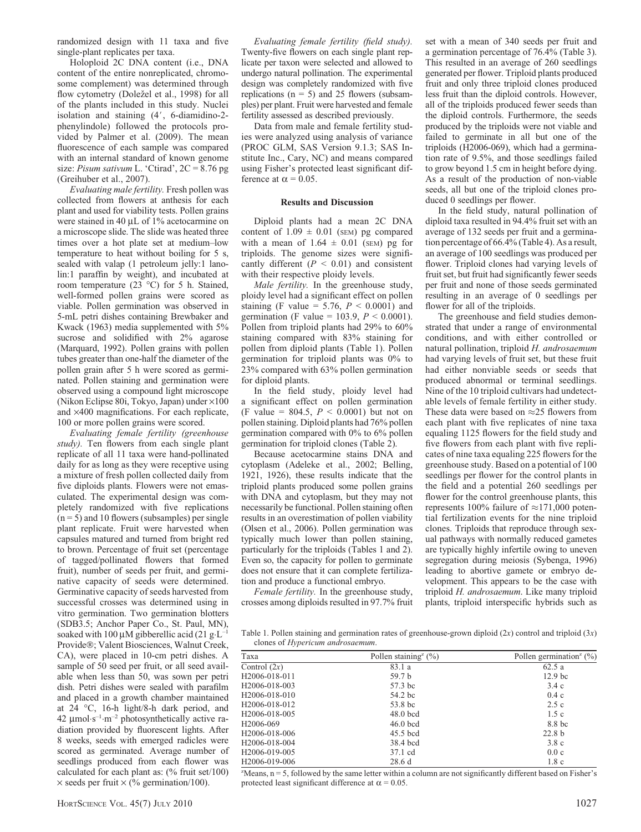randomized design with 11 taxa and five single-plant replicates per taxa.

Holoploid 2C DNA content (i.e., DNA content of the entire nonreplicated, chromosome complement) was determined through flow cytometry (Doležel et al., 1998) for all of the plants included in this study. Nuclei isolation and staining  $(4', 6$ -diamidino-2phenylindole) followed the protocols provided by Palmer et al. (2009). The mean fluorescence of each sample was compared with an internal standard of known genome size: *Pisum sativum* L. 'Ctirad',  $2C = 8.76$  pg (Greihuber et al., 2007).

Evaluating male fertility. Fresh pollen was collected from flowers at anthesis for each plant and used for viability tests. Pollen grains were stained in 40  $\mu$ L of 1% acetocarmine on a microscope slide. The slide was heated three times over a hot plate set at medium–low temperature to heat without boiling for 5 s, sealed with valap (1 petroleum jelly:1 lanolin:1 paraffin by weight), and incubated at room temperature  $(23 \text{ °C})$  for 5 h. Stained, well-formed pollen grains were scored as viable. Pollen germination was observed in 5-mL petri dishes containing Brewbaker and Kwack (1963) media supplemented with 5% sucrose and solidified with 2% agarose (Marquard, 1992). Pollen grains with pollen tubes greater than one-half the diameter of the pollen grain after 5 h were scored as germinated. Pollen staining and germination were observed using a compound light microscope (Nikon Eclipse 80i, Tokyo, Japan) under  $\times 100$ and  $\times$ 400 magnifications. For each replicate, 100 or more pollen grains were scored.

Evaluating female fertility (greenhouse study). Ten flowers from each single plant replicate of all 11 taxa were hand-pollinated daily for as long as they were receptive using a mixture of fresh pollen collected daily from five diploids plants. Flowers were not emasculated. The experimental design was completely randomized with five replications  $(n=5)$  and 10 flowers (subsamples) per single plant replicate. Fruit were harvested when capsules matured and turned from bright red to brown. Percentage of fruit set (percentage of tagged/pollinated flowers that formed fruit), number of seeds per fruit, and germinative capacity of seeds were determined. Germinative capacity of seeds harvested from successful crosses was determined using in vitro germination. Two germination blotters (SDB3.5; Anchor Paper Co., St. Paul, MN), soaked with 100  $\mu$ M gibberellic acid (21 g·L<sup>-1</sup> Provide®; Valent Biosciences, Walnut Creek, CA), were placed in 10-cm petri dishes. A sample of 50 seed per fruit, or all seed available when less than 50, was sown per petri dish. Petri dishes were sealed with parafilm and placed in a growth chamber maintained at 24 °C, 16-h light/8-h dark period, and 42  $\mu$ mol·s<sup>-1</sup>·m<sup>-2</sup> photosynthetically active radiation provided by fluorescent lights. After 8 weeks, seeds with emerged radicles were scored as germinated. Average number of seedlings produced from each flower was calculated for each plant as: (% fruit set/100)  $\times$  seeds per fruit  $\times$  (% germination/100).

Evaluating female fertility (field study). Twenty-five flowers on each single plant replicate per taxon were selected and allowed to undergo natural pollination. The experimental design was completely randomized with five replications  $(n = 5)$  and 25 flowers (subsamples) per plant. Fruit were harvested and female fertility assessed as described previously.

Data from male and female fertility studies were analyzed using analysis of variance (PROC GLM, SAS Version 9.1.3; SAS Institute Inc., Cary, NC) and means compared using Fisher's protected least significant difference at  $\alpha$  = 0.05.

## Results and Discussion

Diploid plants had a mean 2C DNA content of  $1.09 \pm 0.01$  (SEM) pg compared with a mean of  $1.64 \pm 0.01$  (SEM) pg for triploids. The genome sizes were significantly different  $(P < 0.01)$  and consistent with their respective ploidy levels.

Male fertility. In the greenhouse study, ploidy level had a significant effect on pollen staining (F value = 5.76,  $P < 0.0001$ ) and germination (F value = 103.9,  $P < 0.0001$ ). Pollen from triploid plants had 29% to 60% staining compared with 83% staining for pollen from diploid plants (Table 1). Pollen germination for triploid plants was 0% to 23% compared with 63% pollen germination for diploid plants.

In the field study, ploidy level had a significant effect on pollen germination (F value = 804.5,  $P < 0.0001$ ) but not on pollen staining. Diploid plants had 76% pollen germination compared with 0% to 6% pollen germination for triploid clones (Table 2).

Because acetocarmine stains DNA and cytoplasm (Adeleke et al., 2002; Belling, 1921, 1926), these results indicate that the triploid plants produced some pollen grains with DNA and cytoplasm, but they may not necessarily be functional. Pollen staining often results in an overestimation of pollen viability (Olsen et al., 2006). Pollen germination was typically much lower than pollen staining, particularly for the triploids (Tables 1 and 2). Even so, the capacity for pollen to germinate does not ensure that it can complete fertilization and produce a functional embryo.

Female fertility. In the greenhouse study, crosses among diploids resulted in 97.7% fruit set with a mean of 340 seeds per fruit and a germination percentage of 76.4% (Table 3). This resulted in an average of 260 seedlings generated per flower. Triploid plants produced fruit and only three triploid clones produced less fruit than the diploid controls. However, all of the triploids produced fewer seeds than the diploid controls. Furthermore, the seeds produced by the triploids were not viable and failed to germinate in all but one of the triploids (H2006-069), which had a germination rate of 9.5%, and those seedlings failed to grow beyond 1.5 cm in height before dying. As a result of the production of non-viable seeds, all but one of the triploid clones produced 0 seedlings per flower.

In the field study, natural pollination of diploid taxa resulted in 94.4% fruit set with an average of 132 seeds per fruit and a germination percentage of 66.4% (Table 4). As a result, an average of 100 seedlings was produced per flower. Triploid clones had varying levels of fruit set, but fruit had significantly fewer seeds per fruit and none of those seeds germinated resulting in an average of 0 seedlings per flower for all of the triploids.

The greenhouse and field studies demonstrated that under a range of environmental conditions, and with either controlled or natural pollination, triploid H. androsaemum had varying levels of fruit set, but these fruit had either nonviable seeds or seeds that produced abnormal or terminal seedlings. Nine of the 10 triploid cultivars had undetectable levels of female fertility in either study. These data were based on  $\approx$  25 flowers from each plant with five replicates of nine taxa equaling 1125 flowers for the field study and five flowers from each plant with five replicates of nine taxa equaling 225 flowers for the greenhouse study. Based on a potential of 100 seedlings per flower for the control plants in the field and a potential 260 seedlings per flower for the control greenhouse plants, this represents 100% failure of  $\approx$  171,000 potential fertilization events for the nine triploid clones. Triploids that reproduce through sexual pathways with normally reduced gametes are typically highly infertile owing to uneven segregation during meiosis (Sybenga, 1996) leading to abortive gamete or embryo development. This appears to be the case with triploid H. androsaemum. Like many triploid plants, triploid interspecific hybrids such as

Table 1. Pollen staining and germination rates of greenhouse-grown diploid  $(2x)$  control and triploid  $(3x)$ clones of Hypericum androsaemum.

| Taxa                       | Pollen staining <sup>2</sup> $(\%)$ | Pollen germination <sup>2</sup> $(\%)$ |
|----------------------------|-------------------------------------|----------------------------------------|
| Control $(2x)$             | 83.1 a                              | 62.5a                                  |
| H2006-018-011              | 59.7 <sub>b</sub>                   | 12.9 <sub>bc</sub>                     |
| H <sub>2006</sub> -018-003 | 57.3 bc                             | 3.4c                                   |
| H <sub>2006</sub> -018-010 | 54.2 bc                             | 0.4c                                   |
| H <sub>2006</sub> -018-012 | 53.8 bc                             | 2.5c                                   |
| H <sub>2006</sub> -018-005 | $48.0$ bcd                          | 1.5c                                   |
| H <sub>2006</sub> -069     | $46.0$ bcd                          | 8.8 bc                                 |
| H <sub>2006</sub> -018-006 | 45.5 bcd                            | 22.8 <sub>b</sub>                      |
| H2006-018-004              | 38.4 bcd                            | 3.8c                                   |
| H <sub>2006</sub> -019-005 | 37.1 cd                             | 0.0c                                   |
| H <sub>2006</sub> -019-006 | 28.6 d                              | 1.8c                                   |

z Means, n = 5, followed by the same letter within a column are not significantly different based on Fisher's protected least significant difference at  $\alpha = 0.05$ .